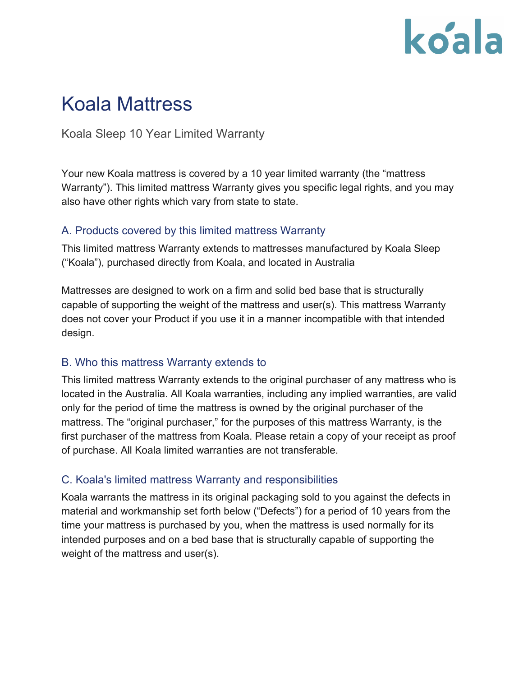## koala

### Koala Mattress

Koala Sleep 10 Year Limited Warranty

Your new Koala mattress is covered by a 10 year limited warranty (the "mattress Warranty"). This limited mattress Warranty gives you specific legal rights, and you may also have other rights which vary from state to state.

#### A. Products covered by this limited mattress Warranty

This limited mattress Warranty extends to mattresses manufactured by Koala Sleep ("Koala"), purchased directly from Koala, and located in Australia

Mattresses are designed to work on a firm and solid bed base that is structurally capable of supporting the weight of the mattress and user(s). This mattress Warranty does not cover your Product if you use it in a manner incompatible with that intended design.

#### B. Who this mattress Warranty extends to

This limited mattress Warranty extends to the original purchaser of any mattress who is located in the Australia. All Koala warranties, including any implied warranties, are valid only for the period of time the mattress is owned by the original purchaser of the mattress. The "original purchaser," for the purposes of this mattress Warranty, is the first purchaser of the mattress from Koala. Please retain a copy of your receipt as proof of purchase. All Koala limited warranties are not transferable.

#### C. Koala's limited mattress Warranty and responsibilities

Koala warrants the mattress in its original packaging sold to you against the defects in material and workmanship set forth below ("Defects") for a period of 10 years from the time your mattress is purchased by you, when the mattress is used normally for its intended purposes and on a bed base that is structurally capable of supporting the weight of the mattress and user(s).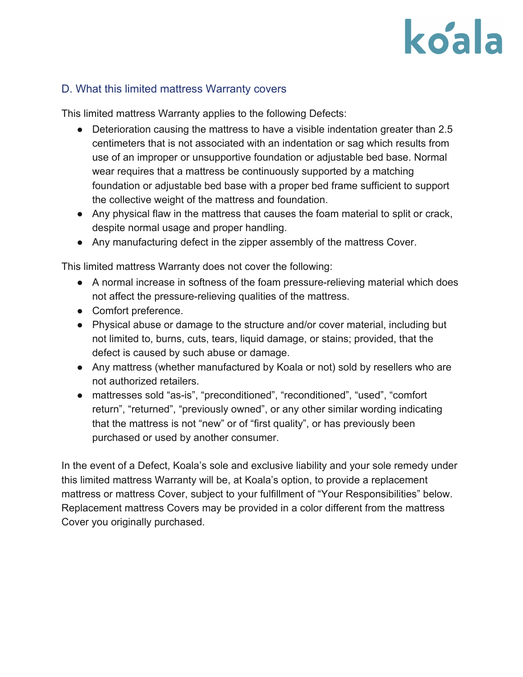# koala

#### D. What this limited mattress Warranty covers

This limited mattress Warranty applies to the following Defects:

- Deterioration causing the mattress to have a visible indentation greater than 2.5 centimeters that is not associated with an indentation or sag which results from use of an improper or unsupportive foundation or adjustable bed base. Normal wear requires that a mattress be continuously supported by a matching foundation or adjustable bed base with a proper bed frame sufficient to support the collective weight of the mattress and foundation.
- Any physical flaw in the mattress that causes the foam material to split or crack, despite normal usage and proper handling.
- Any manufacturing defect in the zipper assembly of the mattress Cover.

This limited mattress Warranty does not cover the following:

- A normal increase in softness of the foam pressure-relieving material which does not affect the pressure-relieving qualities of the mattress.
- Comfort preference.
- Physical abuse or damage to the structure and/or cover material, including but not limited to, burns, cuts, tears, liquid damage, or stains; provided, that the defect is caused by such abuse or damage.
- Any mattress (whether manufactured by Koala or not) sold by resellers who are not authorized retailers.
- mattresses sold "as-is", "preconditioned", "reconditioned", "used", "comfort return", "returned", "previously owned", or any other similar wording indicating that the mattress is not "new" or of "first quality", or has previously been purchased or used by another consumer.

In the event of a Defect, Koala's sole and exclusive liability and your sole remedy under this limited mattress Warranty will be, at Koala's option, to provide a replacement mattress or mattress Cover, subject to your fulfillment of "Your Responsibilities" below. Replacement mattress Covers may be provided in a color different from the mattress Cover you originally purchased.